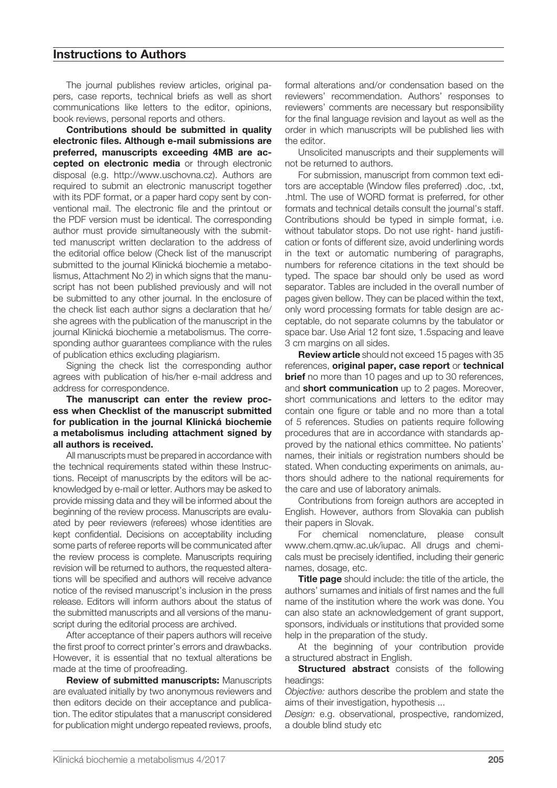### **Instructions to Authors**

The journal publishes review articles, original papers, case reports, technical briefs as well as short communications like letters to the editor, opinions, book reviews, personal reports and others.

**Contributions should be submitted in quality electronic files. Although e-mail submissions are preferred, manuscripts exceeding 4MB are accepted on electronic media** or through electronic disposal (e.g. http://www.uschovna.cz). Authors are required to submit an electronic manuscript together with its PDF format, or a paper hard copy sent by conventional mail. The electronic file and the printout or the PDF version must be identical. The corresponding author must provide simultaneously with the submitted manuscript written declaration to the address of the editorial office below (Check list of the manuscript submitted to the journal Klinická biochemie a metabolismus, Attachment No 2) in which signs that the manuscript has not been published previously and will not be submitted to any other journal. In the enclosure of the check list each author signs a declaration that he/ she agrees with the publication of the manuscript in the journal Klinická biochemie a metabolismus. The corresponding author guarantees compliance with the rules of publication ethics excluding plagiarism.

Signing the check list the corresponding author agrees with publication of his/her e-mail address and address for correspondence.

**The manuscript can enter the review process when Checklist of the manuscript submitted for publication in the journal Klinická biochemie a metabolismus including attachment signed by all authors is received.**

All manuscripts must be prepared in accordance with the technical requirements stated within these Instructions. Receipt of manuscripts by the editors will be acknowledged by e-mail or letter. Authors may be asked to provide missing data and they will be informed about the beginning of the review process. Manuscripts are evaluated by peer reviewers (referees) whose identities are kept confidential. Decisions on acceptability including some parts of referee reports will be communicated after the review process is complete. Manuscripts requiring revision will be returned to authors, the requested alterations will be specified and authors will receive advance notice of the revised manuscript's inclusion in the press release. Editors will inform authors about the status of the submitted manuscripts and all versions of the manuscript during the editorial process are archived.

After acceptance of their papers authors will receive the first proof to correct printer's errors and drawbacks. However, it is essential that no textual alterations be made at the time of proofreading.

**Review of submitted manuscripts:** Manuscripts are evaluated initially by two anonymous reviewers and then editors decide on their acceptance and publication. The editor stipulates that a manuscript considered for publication might undergo repeated reviews, proofs, formal alterations and/or condensation based on the reviewers' recommendation. Authors' responses to reviewers' comments are necessary but responsibility for the final language revision and layout as well as the order in which manuscripts will be published lies with the editor.

Unsolicited manuscripts and their supplements will not be returned to authors.

For submission, manuscript from common text editors are acceptable (Window files preferred) .doc, .txt, .html. The use of WORD format is preferred, for other formats and technical details consult the journal's staff. Contributions should be typed in simple format, i.e. without tabulator stops. Do not use right- hand justification or fonts of different size, avoid underlining words in the text or automatic numbering of paragraphs, numbers for reference citations in the text should be typed. The space bar should only be used as word separator. Tables are included in the overall number of pages given bellow. They can be placed within the text, only word processing formats for table design are acceptable, do not separate columns by the tabulator or space bar. Use Arial 12 font size, 1.5spacing and leave 3 cm margins on all sides.

**Review article** should not exceed 15 pages with 35 references, **original paper, case report** or **technical brief** no more than 10 pages and up to 30 references, and **short communication** up to 2 pages. Moreover, short communications and letters to the editor may contain one figure or table and no more than a total of 5 references. Studies on patients require following procedures that are in accordance with standards approved by the national ethics committee. No patients' names, their initials or registration numbers should be stated. When conducting experiments on animals, authors should adhere to the national requirements for the care and use of laboratory animals.

Contributions from foreign authors are accepted in English. However, authors from Slovakia can publish their papers in Slovak.

For chemical nomenclature, please consult www.chem.qmw.ac.uk/iupac. All drugs and chemicals must be precisely identified, including their generic names, dosage, etc.

**Title page** should include: the title of the article, the authors' surnames and initials of first names and the full name of the institution where the work was done. You can also state an acknowledgement of grant support, sponsors, individuals or institutions that provided some help in the preparation of the study.

At the beginning of your contribution provide a structured abstract in English.

**Structured abstract** consists of the following headings:

*Objective:* authors describe the problem and state the aims of their investigation, hypothesis ...

*Design:* e.g. observational, prospective, randomized, a double blind study etc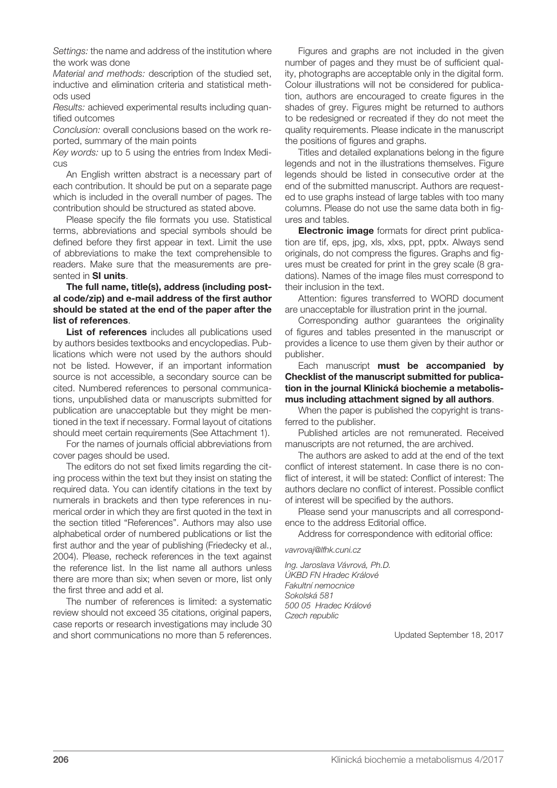*Settings:* the name and address of the institution where the work was done

*Material and methods:* description of the studied set, inductive and elimination criteria and statistical methods used

*Results:* achieved experimental results including quantified outcomes

*Conclusion:* overall conclusions based on the work reported, summary of the main points

*Key words:* up to 5 using the entries from Index Medicus

An English written abstract is a necessary part of each contribution. It should be put on a separate page which is included in the overall number of pages. The contribution should be structured as stated above.

Please specify the file formats you use. Statistical terms, abbreviations and special symbols should be defined before they first appear in text. Limit the use of abbreviations to make the text comprehensible to readers. Make sure that the measurements are presented in **SI units**.

#### **The full name, title(s), address (including postal code/zip) and e-mail address of the first author should be stated at the end of the paper after the list of references**.

List of references includes all publications used by authors besides textbooks and encyclopedias. Publications which were not used by the authors should not be listed. However, if an important information source is not accessible, a secondary source can be cited. Numbered references to personal communications, unpublished data or manuscripts submitted for publication are unacceptable but they might be mentioned in the text if necessary. Formal layout of citations should meet certain requirements (See Attachment 1).

For the names of journals official abbreviations from cover pages should be used.

The editors do not set fixed limits regarding the citing process within the text but they insist on stating the required data. You can identify citations in the text by numerals in brackets and then type references in numerical order in which they are first quoted in the text in the section titled "References". Authors may also use alphabetical order of numbered publications or list the first author and the year of publishing (Friedecky et al., 2004). Please, recheck references in the text against the reference list. In the list name all authors unless there are more than six; when seven or more, list only the first three and add et al.

The number of references is limited: a systematic review should not exceed 35 citations, original papers, case reports or research investigations may include 30 and short communications no more than 5 references.

Figures and graphs are not included in the given number of pages and they must be of sufficient quality, photographs are acceptable only in the digital form. Colour illustrations will not be considered for publication, authors are encouraged to create figures in the shades of grey. Figures might be returned to authors to be redesigned or recreated if they do not meet the quality requirements. Please indicate in the manuscript the positions of figures and graphs.

Titles and detailed explanations belong in the figure legends and not in the illustrations themselves. Figure legends should be listed in consecutive order at the end of the submitted manuscript. Authors are requested to use graphs instead of large tables with too many columns. Please do not use the same data both in figures and tables.

**Electronic image** formats for direct print publication are tif, eps, jpg, xls, xlxs, ppt, pptx. Always send originals, do not compress the figures. Graphs and figures must be created for print in the grey scale (8 gradations). Names of the image files must correspond to their inclusion in the text.

Attention: figures transferred to WORD document are unacceptable for illustration print in the journal.

Corresponding author guarantees the originality of figures and tables presented in the manuscript or provides a licence to use them given by their author or publisher.

Each manuscript **must be accompanied by Checklist of the manuscript submitted for publication in the journal Klinická biochemie a metabolismus including attachment signed by all authors**.

When the paper is published the copyright is transferred to the publisher.

Published articles are not remunerated. Received manuscripts are not returned, the are archived.

The authors are asked to add at the end of the text conflict of interest statement. In case there is no conflict of interest, it will be stated: Conflict of interest: The authors declare no conflict of interest. Possible conflict of interest will be specified by the authors.

Please send your manuscripts and all correspondence to the address Editorial office.

Address for correspondence with editorial office:

*vavrovaj@lfhk.cuni.cz*

*Ing. Jaroslava Vávrová, Ph.D. ÚKBD FN Hradec Králové Fakultní nemocnice Sokolská 581 500 05 Hradec Králové Czech republic*

Updated September 18, 2017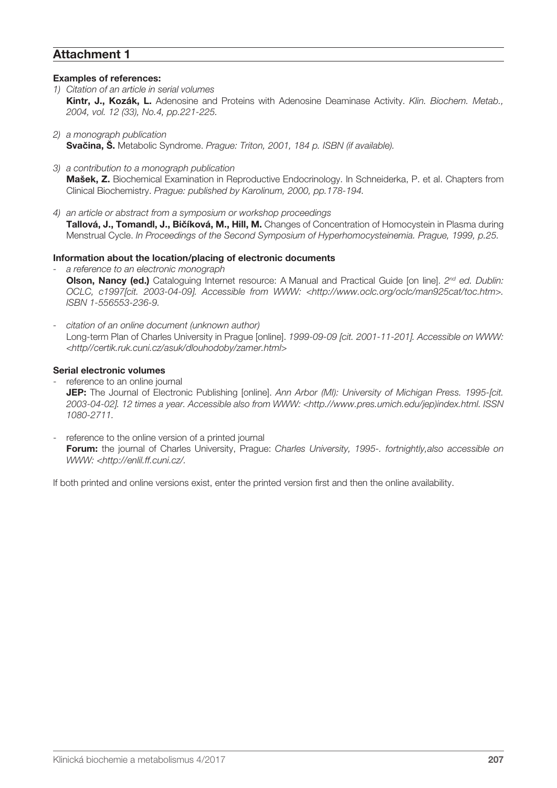## **Attachment 1**

#### **Examples of references:**

- *1) Citation of an article in serial volumes* **Kintr, J., Kozák, L.** Adenosine and Proteins with Adenosine Deaminase Activity. *Klin. Biochem. Metab., 2004, vol. 12 (33), No.4, pp.221-225.*
- *2) a monograph publication* **Svačina, Š.** Metabolic Syndrome. *Prague: Triton, 2001, 184 p. ISBN (if available).*
- *3) a contribution to a monograph publication* **Mašek, Z.** Biochemical Examination in Reproductive Endocrinology. In Schneiderka, P. et al. Chapters from Clinical Biochemistry. *Prague: published by Karolinum, 2000, pp.178-194.*
- *4) an article or abstract from a symposium or workshop proceedings* **Tallová, J., Tomandl, J., Bičíková, M., Hill, M.** Changes of Concentration of Homocystein in Plasma during Menstrual Cycle. *In Proceedings of the Second Symposium of Hyperhomocysteinemia. Prague, 1999, p.25.*

#### **Information about the location/placing of electronic documents**

- *- a reference to an electronic monograph* **Olson, Nancy (ed.)** Cataloguing Internet resource: A Manual and Practical Guide [on line]. 2<sup>nd</sup> ed. Dublin: *OCLC, c1997[cit. 2003-04-09]. Accessible from WWW: <http://www.oclc.org/oclc/man925cat/toc.htm>. ISBN 1-556553-236-9.*
- *- citation of an online document (unknown author)* Long-term Plan of Charles University in Prague [online]. *1999-09-09 [cit. 2001-11-201]. Accessible on WWW: <http//certik.ruk.cuni.cz/asuk/dlouhodoby/zamer.html>*

#### **Serial electronic volumes**

- reference to an online journal **JEP:** The Journal of Electronic Publishing [online]. *Ann Arbor (MI): University of Michigan Press. 1995-[cit. 2003-04-02]. 12 times a year. Accessible also from WWW: <http.//www.pres.umich.edu/jep)index.html. ISSN 1080-2711.*
- reference to the online version of a printed journal **Forum:** the journal of Charles University, Prague: *Charles University, 1995-. fortnightly,also accessible on WWW: <http://enlil.ff.cuni.cz/.*

If both printed and online versions exist, enter the printed version first and then the online availability.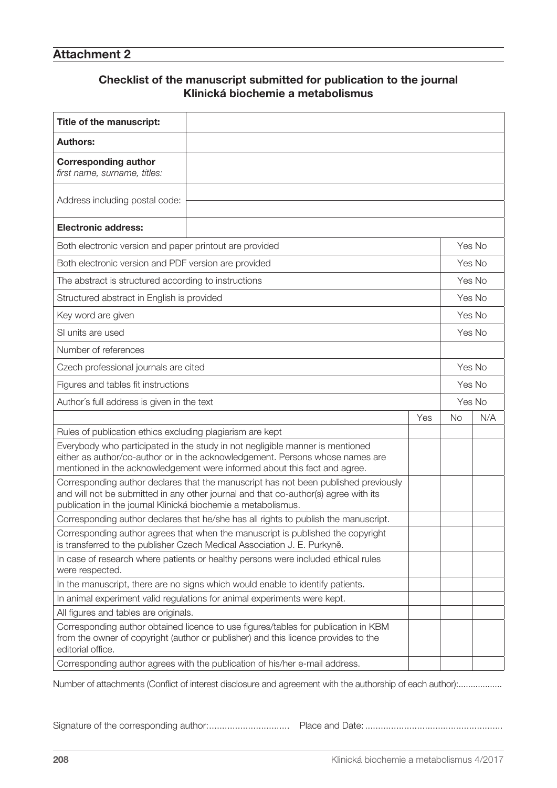# **Attachment 2**

# **Checklist of the manuscript submitted for publication to the journal Klinická biochemie a metabolismus**

| Title of the manuscript:                                                                                                                                                                                                                    |  |  |        |           |  |
|---------------------------------------------------------------------------------------------------------------------------------------------------------------------------------------------------------------------------------------------|--|--|--------|-----------|--|
| <b>Authors:</b>                                                                                                                                                                                                                             |  |  |        |           |  |
| <b>Corresponding author</b><br>first name, surname, titles:                                                                                                                                                                                 |  |  |        |           |  |
| Address including postal code:                                                                                                                                                                                                              |  |  |        |           |  |
| <b>Electronic address:</b>                                                                                                                                                                                                                  |  |  |        |           |  |
| Both electronic version and paper printout are provided                                                                                                                                                                                     |  |  | Yes No |           |  |
| Both electronic version and PDF version are provided                                                                                                                                                                                        |  |  | Yes No |           |  |
| The abstract is structured according to instructions                                                                                                                                                                                        |  |  | Yes No |           |  |
| Structured abstract in English is provided                                                                                                                                                                                                  |  |  | Yes No |           |  |
| Key word are given                                                                                                                                                                                                                          |  |  | Yes No |           |  |
| SI units are used                                                                                                                                                                                                                           |  |  | Yes No |           |  |
| Number of references                                                                                                                                                                                                                        |  |  |        |           |  |
| Czech professional journals are cited                                                                                                                                                                                                       |  |  | Yes No |           |  |
| Figures and tables fit instructions                                                                                                                                                                                                         |  |  | Yes No |           |  |
|                                                                                                                                                                                                                                             |  |  | Yes No |           |  |
| Author's full address is given in the text<br>Yes                                                                                                                                                                                           |  |  |        | No<br>N/A |  |
| Rules of publication ethics excluding plagiarism are kept                                                                                                                                                                                   |  |  |        |           |  |
| Everybody who participated in the study in not negligible manner is mentioned<br>either as author/co-author or in the acknowledgement. Persons whose names are<br>mentioned in the acknowledgement were informed about this fact and agree. |  |  |        |           |  |
| Corresponding author declares that the manuscript has not been published previously<br>and will not be submitted in any other journal and that co-author(s) agree with its<br>publication in the journal Klinická biochemie a metabolismus. |  |  |        |           |  |
| Corresponding author declares that he/she has all rights to publish the manuscript.                                                                                                                                                         |  |  |        |           |  |
| Corresponding author agrees that when the manuscript is published the copyright<br>is transferred to the publisher Czech Medical Association J. E. Purkyně.                                                                                 |  |  |        |           |  |
| In case of research where patients or healthy persons were included ethical rules<br>were respected.                                                                                                                                        |  |  |        |           |  |
| In the manuscript, there are no signs which would enable to identify patients.                                                                                                                                                              |  |  |        |           |  |
| In animal experiment valid regulations for animal experiments were kept.                                                                                                                                                                    |  |  |        |           |  |
| All figures and tables are originals.                                                                                                                                                                                                       |  |  |        |           |  |
| Corresponding author obtained licence to use figures/tables for publication in KBM<br>from the owner of copyright (author or publisher) and this licence provides to the<br>editorial office.                                               |  |  |        |           |  |
| Corresponding author agrees with the publication of his/her e-mail address.                                                                                                                                                                 |  |  |        |           |  |

Number of attachments (Conflict of interest disclosure and agreement with the authorship of each author):..................

Signature of the corresponding author:............................... Place and Date: .....................................................